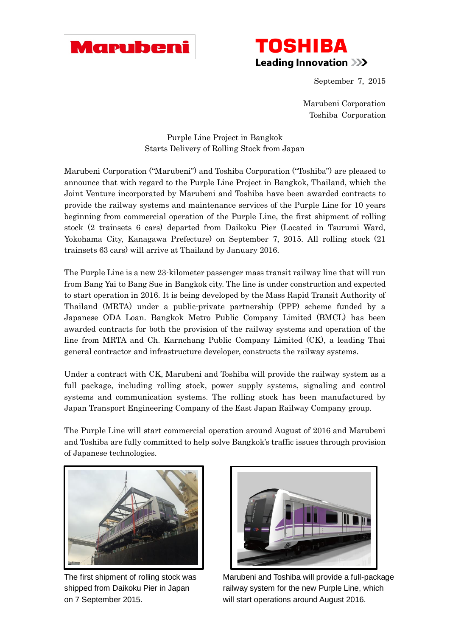



September 7, 2015

Marubeni Corporation Toshiba Corporation

Purple Line Project in Bangkok Starts Delivery of Rolling Stock from Japan

Marubeni Corporation ("Marubeni") and Toshiba Corporation ("Toshiba") are pleased to announce that with regard to the Purple Line Project in Bangkok, Thailand, which the Joint Venture incorporated by Marubeni and Toshiba have been awarded contracts to provide the railway systems and maintenance services of the Purple Line for 10 years beginning from commercial operation of the Purple Line, the first shipment of rolling stock (2 trainsets 6 cars) departed from Daikoku Pier (Located in Tsurumi Ward, Yokohama City, Kanagawa Prefecture) on September 7, 2015. All rolling stock (21 trainsets 63 cars) will arrive at Thailand by January 2016.

The Purple Line is a new 23-kilometer passenger mass transit railway line that will run from Bang Yai to Bang Sue in Bangkok city. The line is under construction and expected to start operation in 2016. It is being developed by the Mass Rapid Transit Authority of Thailand (MRTA) under a public-private partnership (PPP) scheme funded by a Japanese ODA Loan. Bangkok Metro Public Company Limited (BMCL) has been awarded contracts for both the provision of the railway systems and operation of the line from MRTA and Ch. Karnchang Public Company Limited (CK), a leading Thai general contractor and infrastructure developer, constructs the railway systems.

Under a contract with CK, Marubeni and Toshiba will provide the railway system as a full package, including rolling stock, power supply systems, signaling and control systems and communication systems. The rolling stock has been manufactured by Japan Transport Engineering Company of the East Japan Railway Company group.

The Purple Line will start commercial operation around August of 2016 and Marubeni and Toshiba are fully committed to help solve Bangkok's traffic issues through provision of Japanese technologies.





The first shipment of rolling stock was Marubeni and Toshiba will provide a full-package shipped from Daikoku Pier in Japan railway system for the new Purple Line, which on 7 September 2015. will start operations around August 2016.